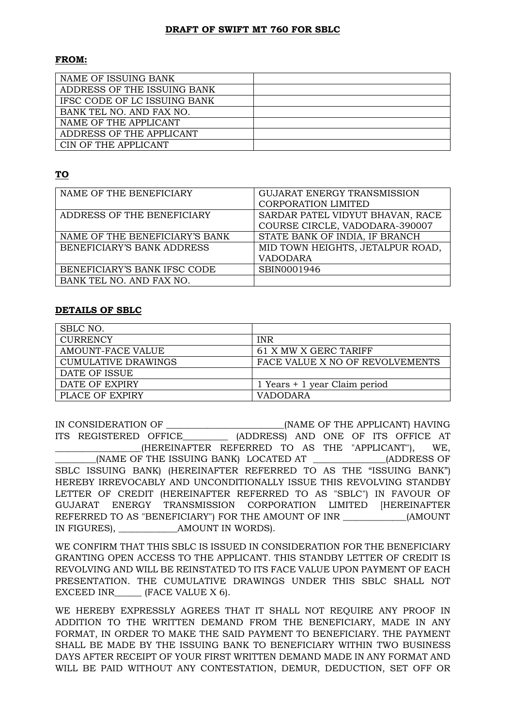## **DRAFT OF SWIFT MT 760 FOR SBLC**

## **FROM:**

| NAME OF ISSUING BANK         |  |
|------------------------------|--|
| ADDRESS OF THE ISSUING BANK  |  |
| IFSC CODE OF LC ISSUING BANK |  |
| BANK TEL NO. AND FAX NO.     |  |
| NAME OF THE APPLICANT        |  |
| ADDRESS OF THE APPLICANT     |  |
| CIN OF THE APPLICANT         |  |

## **TO**

| NAME OF THE BENEFICIARY        | <b>GUJARAT ENERGY TRANSMISSION</b> |
|--------------------------------|------------------------------------|
|                                | <b>CORPORATION LIMITED</b>         |
| ADDRESS OF THE BENEFICIARY     | SARDAR PATEL VIDYUT BHAVAN, RACE   |
|                                | COURSE CIRCLE, VADODARA-390007     |
| NAME OF THE BENEFICIARY'S BANK | STATE BANK OF INDIA, IF BRANCH     |
| BENEFICIARY'S BANK ADDRESS     | MID TOWN HEIGHTS, JETALPUR ROAD,   |
|                                | <b>VADODARA</b>                    |
| BENEFICIARY'S BANK IFSC CODE   | SBIN0001946                        |
| BANK TEL NO. AND FAX NO.       |                                    |

## **DETAILS OF SBLC**

| SBLC NO.            |                                 |
|---------------------|---------------------------------|
| <b>CURRENCY</b>     | <b>INR</b>                      |
| AMOUNT-FACE VALUE   | 61 X MW X GERC TARIFF           |
| CUMULATIVE DRAWINGS | FACE VALUE X NO OF REVOLVEMENTS |
| DATE OF ISSUE       |                                 |
| DATE OF EXPIRY      | 1 Years + 1 year Claim period   |
| PLACE OF EXPIRY     | <b>VADODARA</b>                 |

IN CONSIDERATION OF \_\_\_\_\_\_\_\_\_\_\_\_\_\_\_\_\_\_\_\_\_\_\_\_\_\_(NAME OF THE APPLICANT) HAVING ITS REGISTERED OFFICE\_\_\_\_\_\_\_\_\_\_ (ADDRESS) AND ONE OF ITS OFFICE AT \_\_\_\_\_\_\_\_\_\_\_\_\_\_\_\_\_\_\_(HEREINAFTER REFERRED TO AS THE "APPLICANT"), WE, (NAME OF THE ISSUING BANK) LOCATED AT  $\qquad \qquad$  (ADDRESS OF SBLC ISSUING BANK) (HEREINAFTER REFERRED TO AS THE "ISSUING BANK") HEREBY IRREVOCABLY AND UNCONDITIONALLY ISSUE THIS REVOLVING STANDBY LETTER OF CREDIT (HEREINAFTER REFERRED TO AS "SBLC") IN FAVOUR OF GUJARAT ENERGY TRANSMISSION CORPORATION LIMITED [HEREINAFTER REFERRED TO AS "BENEFICIARY") FOR THE AMOUNT OF INR \_\_\_\_\_\_\_\_\_\_\_\_\_\_(AMOUNT IN FIGURES), \_\_\_\_\_\_\_\_\_\_\_\_\_AMOUNT IN WORDS).

WE CONFIRM THAT THIS SBLC IS ISSUED IN CONSIDERATION FOR THE BENEFICIARY GRANTING OPEN ACCESS TO THE APPLICANT. THIS STANDBY LETTER OF CREDIT IS REVOLVING AND WILL BE REINSTATED TO ITS FACE VALUE UPON PAYMENT OF EACH PRESENTATION. THE CUMULATIVE DRAWINGS UNDER THIS SBLC SHALL NOT EXCEED INR (FACE VALUE X 6).

WE HEREBY EXPRESSLY AGREES THAT IT SHALL NOT REQUIRE ANY PROOF IN ADDITION TO THE WRITTEN DEMAND FROM THE BENEFICIARY, MADE IN ANY FORMAT, IN ORDER TO MAKE THE SAID PAYMENT TO BENEFICIARY. THE PAYMENT SHALL BE MADE BY THE ISSUING BANK TO BENEFICIARY WITHIN TWO BUSINESS DAYS AFTER RECEIPT OF YOUR FIRST WRITTEN DEMAND MADE IN ANY FORMAT AND WILL BE PAID WITHOUT ANY CONTESTATION, DEMUR, DEDUCTION, SET OFF OR